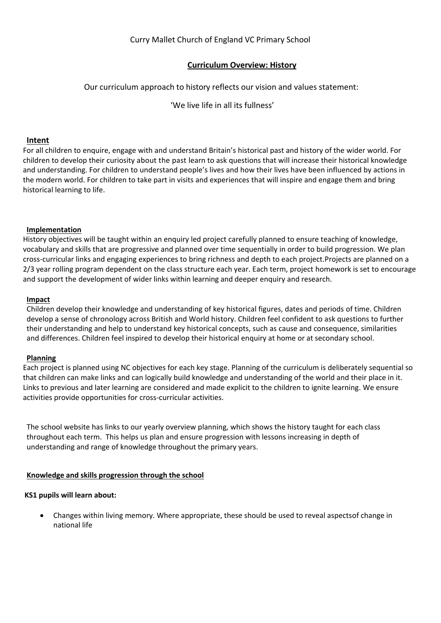# Curry Mallet Church of England VC Primary School

# **Curriculum Overview: History**

## Our curriculum approach to history reflects our vision and values statement:

'We live life in all its fullness'

#### **Intent**

For all children to enquire, engage with and understand Britain's historical past and history of the wider world. For children to develop their curiosity about the past learn to ask questions that will increase their historical knowledge and understanding. For children to understand people's lives and how their lives have been influenced by actions in the modern world. For children to take part in visits and experiences that will inspire and engage them and bring historical learning to life.

#### **Implementation**

History objectives will be taught within an enquiry led project carefully planned to ensure teaching of knowledge, vocabulary and skills that are progressive and planned over time sequentially in order to build progression. We plan cross-curricular links and engaging experiences to bring richness and depth to each project.Projects are planned on a 2/3 year rolling program dependent on the class structure each year. Each term, project homework is set to encourage and support the development of wider links within learning and deeper enquiry and research.

#### **Impact**

Children develop their knowledge and understanding of key historical figures, dates and periods of time. Children develop a sense of chronology across British and World history. Children feel confident to ask questions to further their understanding and help to understand key historical concepts, such as cause and consequence, similarities and differences. Children feel inspired to develop their historical enquiry at home or at secondary school.

### **Planning**

Each project is planned using NC objectives for each key stage. Planning of the curriculum is deliberately sequential so that children can make links and can logically build knowledge and understanding of the world and their place in it. Links to previous and later learning are considered and made explicit to the children to ignite learning. We ensure activities provide opportunities for cross-curricular activities.

The school website has links to our yearly overview planning, which shows the history taught for each class throughout each term. This helps us plan and ensure progression with lessons increasing in depth of understanding and range of knowledge throughout the primary years.

### **Knowledge and skills progression through the school**

#### **KS1 pupils will learn about:**

 Changes within living memory. Where appropriate, these should be used to reveal aspectsof change in national life